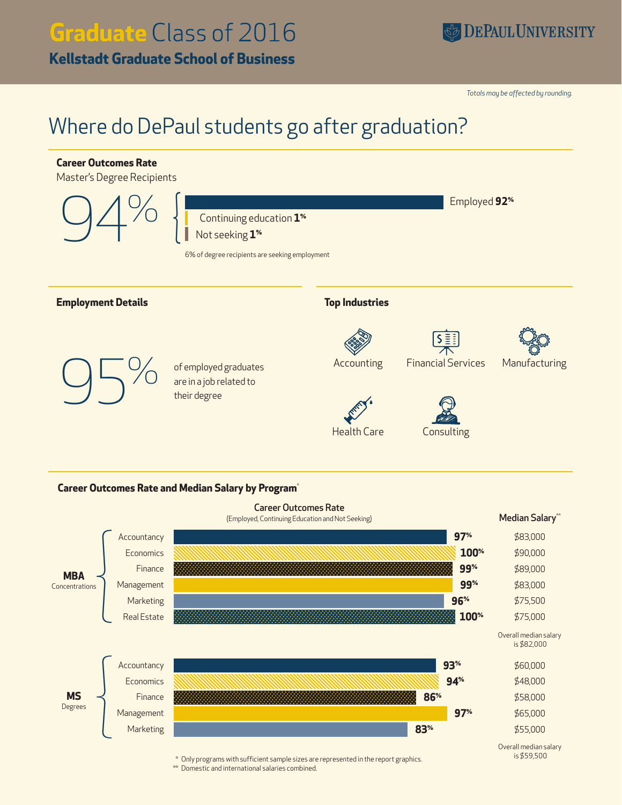# **Graduate** Class of 2016

**Kellstadt Graduate School of Business**

*Totals may be affected by rounding.*

## Where do DePaul students go after graduation?





**MS**

Overall median salary is \$59,500

\$58,000 \$65,000 \$55,000

**86%**

**83%**

**97%**

\* Only programs with sufficient sample sizes are represented in the report graphics.

\*\* Domestic and international salaries combined.